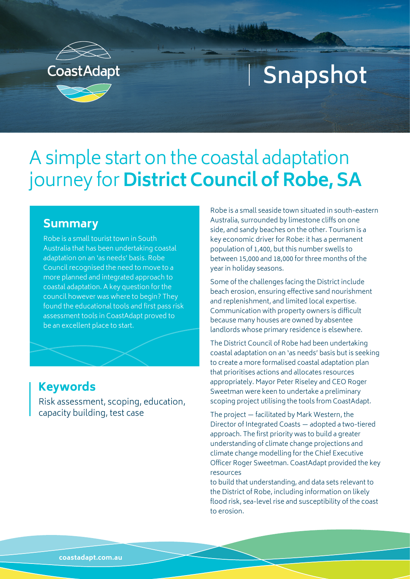

## **Snapshot**

## A simple start on the coastal adaptation journey for **District Council of Robe, SA**

## **Summary**

Robe is a small tourist town in South Australia that has been undertaking coastal adaptation on an 'as needs' basis. Robe Council recognised the need to move to a more planned and integrated approach to coastal adaptation. A key question for the council however was where to begin? They found the educational tools and first pass risk assessment tools in CoastAdapt proved to be an excellent place to start.

## **Keywords**

Risk assessment, scoping, education, capacity building, test case

Robe is a small seaside town situated in south-eastern Australia, surrounded by limestone cliffs on one side, and sandy beaches on the other. Tourism is a key economic driver for Robe: it has a permanent population of 1,400, but this number swells to between 15,000 and 18,000 for three months of the year in holiday seasons.

Some of the challenges facing the District include beach erosion, ensuring effective sand nourishment and replenishment, and limited local expertise. Communication with property owners is difficult because many houses are owned by absentee landlords whose primary residence is elsewhere.

The District Council of Robe had been undertaking coastal adaptation on an 'as needs' basis but is seeking to create a more formalised coastal adaptation plan that prioritises actions and allocates resources appropriately. Mayor Peter Riseley and CEO Roger Sweetman were keen to undertake a preliminary scoping project utilising the tools from CoastAdapt.

The project — facilitated by Mark Western, the Director of Integrated Coasts — adopted a two-tiered approach. The first priority was to build a greater understanding of climate change projections and climate change modelling for the Chief Executive Officer Roger Sweetman. CoastAdapt provided the key resources

to build that understanding, and data sets relevant to the District of Robe, including information on likely flood risk, sea-level rise and susceptibility of the coast to erosion.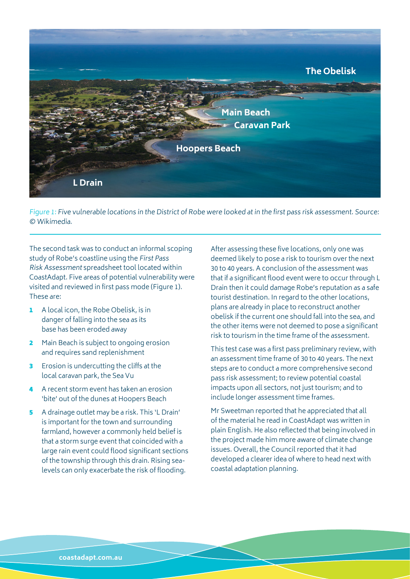

Figure 1: Five vulnerable locations in the District of Robe were looked at in the first pass risk assessment. Source: © [Wikimedia](https:/).

The second task was to conduct an informal scoping study of Robe's coastline using the First Pass Risk Assessment spreadsheet tool located within CoastAdapt. Five areas of potential vulnerability were visited and reviewed in first pass mode (Figure 1). These are:

- 1 A local icon, the Robe Obelisk, is in danger of falling into the sea as its base has been eroded away
- 2 Main Beach is subject to ongoing erosion and requires sand replenishment
- **3** Erosion is undercutting the cliffs at the local caravan park, the Sea Vu
- 4 A recent storm event has taken an erosion 'bite' out of the dunes at Hoopers Beach
- 5 A drainage outlet may be a risk. This 'L Drain' is important for the town and surrounding farmland, however a commonly held belief is that a storm surge event that coincided with a large rain event could flood significant sections of the township through this drain. Rising sealevels can only exacerbate the risk of flooding.

After assessing these five locations, only one was deemed likely to pose a risk to tourism over the next 30 to 40 years. A conclusion of the assessment was that if a significant flood event were to occur through L Drain then it could damage Robe's reputation as a safe tourist destination. In regard to the other locations, plans are already in place to reconstruct another obelisk if the current one should fall into the sea, and the other items were not deemed to pose a significant risk to tourism in the time frame of the assessment.

This test case was a first pass preliminary review, with an assessment time frame of 30 to 40 years. The next steps are to conduct a more comprehensive second pass risk assessment; to review potential coastal impacts upon all sectors, not just tourism; and to include longer assessment time frames.

Mr Sweetman reported that he appreciated that all of the material he read in CoastAdapt was written in plain English. He also reflected that being involved in the project made him more aware of climate change issues. Overall, the Council reported that it had developed a clearer idea of where to head next with coastal adaptation planning.